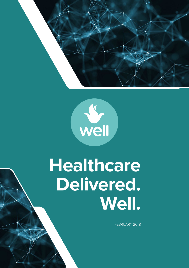



# **Healthcare Delivered. Well.**

1 of 47 The world's first decentralized global marketplace global marketplace global marketplace global market

for high-quality healthcare.

FEBRUARY 2018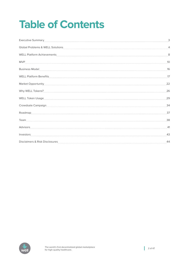# **Table of Contents**

| Executive Summary                                                                                                                                                                                                                    | 3  |
|--------------------------------------------------------------------------------------------------------------------------------------------------------------------------------------------------------------------------------------|----|
|                                                                                                                                                                                                                                      |    |
| WELL Platform Achievements                                                                                                                                                                                                           | 8  |
|                                                                                                                                                                                                                                      | 10 |
| Business Model <b>with the contract of the contract of the contract of the contract of the contract of the contract of the contract of the contract of the contract of the contract of the contract of the contract of the contr</b> | 16 |
| WELL Platform Benefits                                                                                                                                                                                                               | 17 |
| Market Opportunity                                                                                                                                                                                                                   | 22 |
|                                                                                                                                                                                                                                      | 26 |
| WELL Token Usage                                                                                                                                                                                                                     | 29 |
| Crowdsale Campaign 34                                                                                                                                                                                                                |    |
|                                                                                                                                                                                                                                      |    |
|                                                                                                                                                                                                                                      | 38 |
|                                                                                                                                                                                                                                      |    |
|                                                                                                                                                                                                                                      | 43 |
| Disclaimers & Risk Disclosures                                                                                                                                                                                                       | 44 |

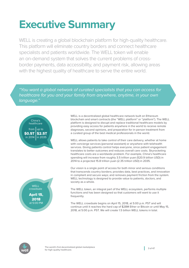# <span id="page-2-0"></span>**Executive Summary**

WELL is creating a global blockchain platform for high-quality healthcare. This platform will eliminate country borders and connect healthcare specialists and patients worldwide. The WELL token will enable an on-demand system that solves the current problems of crossborder payments, data accessibility, and payment risk, allowing areas with the highest quality of healthcare to serve the entire world.

"You want a global network of curated specialists that you can access for healthcare for you and your family from anywhere, anytime, in your own language."





WELL is a decentralized global healthcare network built on Ethereum blockchain and smart contracts (the "WELL platform" or "platform"). The WELL platform is designed to disrupt and replace traditional healthcare models by providing easy access for patients anywhere in the world to receive remote diagnoses, second opinions, and preparation for in-person treatment from a curated group of the best medical professionals in the world.

WELL allows patients to take control of their care delivery, whether at home with concierge services (personal assistant) or anywhere with telehealth services. Giving patients control helps everyone, since patient engagement translates to better outcomes and reduces overall care costs. Skyrocketing healthcare costs are a worldwide problem. For example, China's healthcare spending will increase from roughly 3.5 trillion yuan (520.9 billion USD) in 2014 to a projected 15.8 trillion yuan (2.35 trillion USD) in 2035.

Our vision is a single point of access for both minor and serious conditions that transcends country borders; provides data, best practices, and innovation in compliant and secure ways; and removes payment friction from the system. WELL technology is designed to provide value to patients, doctors, and society as a whole.

The WELL token, an integral part of the WELL ecosystem, performs multiple functions and has been designed so that customers will want to use it frequently.

The WELL crowdsale begins on April 15, 2018, at 5:00 p.m. PST and will continue until it reaches the hard cap of \$28M Ether or Bitcoin or until May 15, 2018, at 5:00 p.m. PST. We will create 1.5 billion WELL tokens in total.

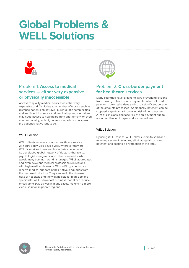# <span id="page-3-0"></span>**Global Problems & WELL Solutions**



# Problem 1: **Access to medical services — either very expensive or physically inaccessible**

Access to quality medical services is either very expensive or difficult due to a number of factors such as distance patients must travel, bureaucratic complexities, and inefficient insurance and medical systems. A patient may need access to healthcare from another city, or even another country, with high-class specialists who speak the patient's native language.

### WELL Solution

WELL clients receive access to healthcare service 24 hours a day, 365 days a year, wherever they are. WELL's services transcend boundaries because of its developed global network of doctors (therapists, psychologists, surgeons, and other specialists) who speak many common world languages. WELL aggregates and even develops medical professionals in regions with high medical demands. With WELL, patients can receive medical support in their native languages from the best world doctors. They can avoid the disease risks of hospitals and the waiting lists for high-demand specialists. WELL's low-cost business model can reduce prices up to 30% as well in many cases, making it a more viable solution in poorer regions.



## Problem 2: **Cross-border payment for healthcare services**

Many countries have byzantine laws preventing citizens from making out-of-country payments. When allowed, payments often take days and cost a significant portion of the amounts processed. Additionally, payment can be stopped, significantly increasing risk of non-payment. A lot of clinicians also face risk of non-payment due to non-compliance of paperwork or procedures.

#### WELL Solution

By using WELL tokens, WELL allows users to send and receive payment in minutes, eliminating risk of nonpayment and costing a tiny fraction of the total.

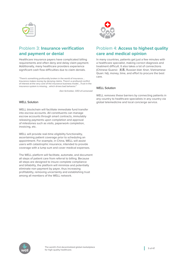

# Problem 3: **Insurance verification and payment or denial**

Healthcare insurance payers have complicated billing requirements and often deny and delay claim payment. Additionally, many healthcare providers experience significant cash flow difficulties due to claim denials.

"There's something profoundly broken in the world of insurance…. Insurance makes money by denying claims. There's a profound conflict of interest at the very core of the insurance business model….Trust in the insurance system is missing... which drives bad behavior."

Dan Schreiber, CEO of Lemonaid

#### WELL Solution

WELL blockchain will facilitate immediate fund transfer into escrow accounts. All constituents can manage escrow accounts through smart contracts, immutably releasing payments upon completion and approval of milestones such as visits, paperwork completion, invoicing, etc.

WELL will provide real-time eligibility functionality, ascertaining patient coverage prior to scheduling an appointment. For example, in China, WELL will assist users with catastrophic insurance, intended to provide coverage with a lump sum and cover medical expenses.

The WELL platform will facilitate, automate, and document all steps of patient care from referral to billing. Because all steps are designed to insure complete compliance and billability, the platform will minimize and potentially eliminate non-payment by payer, thus increasing profitability, removing uncertainty and establishing trust among all members of the WELL network.



# Problem 4: **Access to highest quality care and medical opinion**

In many countries, patients get just a few minutes with a healthcare specialist, making correct diagnosis and treatment difficult. It also takes a lot of connections (Chinese Guanxi: 关系, Russian blat: блат, Vietnamese Quan: hệ), money, time, and effort to procure the best care.

#### WELL Solution

WELL removes these barriers by connecting patients in any country to healthcare specialists in any country via global telemedicine and local concierge service.

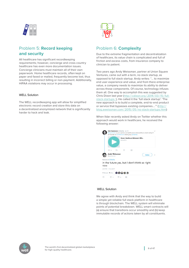

# Problem 5: **Record keeping and security**

All healthcare has significant recordkeeping requirements; however, concierge and cross-country healthcare has even more documentation issues. Concierge clinicians must maintain all of their own paperwork. Home healthcare records, often kept on paper and faxed or mailed, frequently become lost, thus resulting in incorrect billing or non-payment. Additionally, HIPAA violations may occur in processing.

#### WELL Solution

The WELL recordkeeping app will allow for simplified electronic record creation and store this data on a decentralized anonymized network that is significantly harder to hack and leak.



## Problem 6: **Complexity**

Due to the extreme fragmentation and decentralization of healthcare, its value chain is complicated and full of friction and excess costs, from insurance company to clinician to patient.

Two years ago Andy Weissman, partner at Union Square Ventures, came out with a term, no stack startup, as opposed to full stack startup. Andy writes: "… to maximize end user experience and value, and from there enterprise value, a company needs to maximize its ability to deliver across those components. Of course, technology infuses them all. One way to accomplish this was suggested by Chris Dixon last year (http:// [cdixon.org /](http://cdixon.org/2014/03/15/full-stack-startups/) 2014 /03 / 15 / full[stack-startups /](http://cdixon.org/2014/03/15/full-stack-startups/) ). He called it the 'full stack startup': 'The new approach is to build a complete, end-to-end product or service that bypasses existing companies….'" [\(http://](http://blog.aweissman.com/2015/05/no-stack-startups.html) blog.aweissman.com / 2015 /05 / [no-stack-startups.html](http://blog.aweissman.com/2015/05/no-stack-startups.html))

When Ildar recently asked Andy on Twitter whether this approach would work in healthcare, he received the following answer:



#### WELL Solution

We agree with Andy and think that the way to build a simple yet reliable full stack platform in healthcare is through blockchain. The WELL system will eliminate points of potential breakdown. WELL smart contracts will (a) ensure that transitions occur smoothly and (b) keep immutable records of actions taken by all constituents.

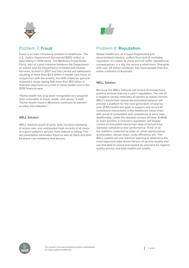

## Problem 7: **Fraud**

Fraud is an ever-increasing problem in healthcare. The U.S. Justice Department discovered \$900 million in false billing in 2016 alone. The Medicare Fraud Strike Force, part of a joint initiative between the Department of Justice and the Department of Health and Human Services, formed in 2007 and has carried out takedowns resulting in more than \$3.5 billion in health care fraud. In conjunction with the arrests, the HHS inspector general released a study saying that more than \$10 billion in improper payments occurred in home health care in the 2015 financial year.

"Home health has long been recognized as a program area vulnerable to fraud, waste, and abuse," it said. "Home health fraud in Medicare continues to warrant scrutiny and attention."

#### WFLL Solution

WELL requires proof-of-work, time / location stamping of actual care, and undisputed hash records of all steps of a given patient's service, from referral to billing. This documentation eliminates fraud as well as Stark and Anti-Kickback Law violations and abuses.



## Problem 8: **Reputation**

Global healthcare, as a super-fragmented and decentralized industry, suffers from lack of verifiable reputation. It's easier to cheat and not suffer reputational consequences in a big city versus a small town. Shanghai, with over 24 million residents, has more people than the entire continent of Australia!

#### WELL Solution

Because the WELL network will record all transactions, positive actions improve a user's reputation. The risk of a negative review motivates all parties to remain honest. WELL's blockchain-based decentralized network will provide a platform for the next generation of peer-topeer (P2P) healthcare apps to support and record all constituent interactions in the healthcare value chain, with proof of completion and compliance at each step. Additionally, unlike the skewed reviews of Uber, AirBnB, or even ZocDoc, a clinician's reputation will largely consist of immutable blockchain data of factual timestamped compliance and performance. Think of all the statistics collected by Uber on driver performance: acceleration, abrupt stops, route efficiency, etc. The WELL system will use machine learning to determine the most important data-driven factors of service quality and use this data to select and reward its clinicians for highest quality service and best healthcare results.

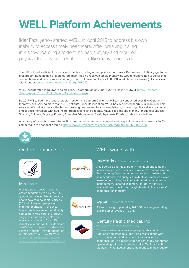# <span id="page-7-0"></span>**WELL Platform Achievements**

Ildar Fazulyanov started WELL in April 2015 to address his own inability to access timely healthcare. After breaking his leg in a snowboarding accident, he had surgery and required physical therapy and rehabilitation, like many patients do.

The difficult and inefficient process kept him from finding a therapist for four weeks. Before he could finally get to that first appointment, he had broken his leg again. Had he received timely therapy, he would not have had to suffer that second break and his insurance company would not have had to pay \$50,000 in additional expenses (full interview with founder: http://www.dhealthsummit.org/491-2/).

WELL incorporated in Delaware as Well, Inc. C Corporation on June 4, 2015 (File # 5760572): https:// [icis.corp.](https://icis.corp.delaware.gov/Ecorp/EntitySearch/NameSearch.aspx) delaware.gov / Ecorp / EntitySearch / [NameSearch.aspx](https://icis.corp.delaware.gov/Ecorp/EntitySearch/NameSearch.aspx)

By 2017, WELL had the largest therapist network in Southern California. WELL has conducted over 13,000 patient therapy visits, serving more than 1,600 patients. Since its inception, WELL has generated nearly \$1 million in billable services. We believe we are the fastest-growing on-demand healthcare platform, connecting physical, occupational, and speech therapists with healthcare organizations and patients. WELL clinicians speak many languages: English, Spanish, Chinese, Tagalog, Korean, Armenian, Vietnamese, Farsi, Japanese, Russian, Hebrew, and others.

A study by A3 Health showed that WELL's on-demand therapy service reduced hospital readmission rates by 49.5% compared to the national average: http://www.prweb.com/releases/2016/08/prweb13595984.htm



# On the demand side, WELL works with:



## Medicare

A single-payer, social insurance program administered by the U.S. government since 1966. It provides health coverage to senior citizens (65 and older) and people who comes from Medicare, the largest single payer of home healthcare services, accounting for 41.5% of # 1699123737) on June 16, 2017:



### myMatrixx® (<www.mymatrixx.com>)

A full-service pharmacy benefit management company focused on patient advocacy in workers' compensation. By combining Agile technology, clinical expertise, and advanced business analytics, myMatrixx simplifies claims management while providing safer medication therapy management. Located in Tampa, Florida, myMatrixx has positioned itself as a thought leader in the workers' compensation industry.





\$83 billion of revenue in 2016.



# Century Pacific Medical, Inc.

1993 and dedicated to supporting organizations with cost containment and care coordination in workers' compensation. In a recent independent study conducted by a leading third-party administrator, Century Pacific Medical, Inc. ranked amongst the highest in the industry.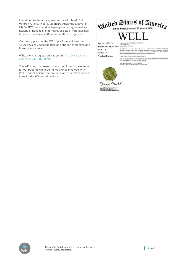In addition to the above, Well works with Medi-Cal, Veteran Affairs, Tricare, Medicare Advantage, several HMO / PPO plans, and self-pay / private pay, as well as dozens of hospitals, elder care / assisted living facilities, hospices, and over 200 home healthcare agencies.

On the supply side, the WELL platform includes over 1,600 physical, occupational, and speech therapists and therapy assistants.

WELL owns a registered trademark: http:// [trademarkia.](http://trademarkia.com/well-86638268.html) com / [well-86638268.html](http://trademarkia.com/well-86638268.html)

The WELL logo represents our commitment to wellness for our patients while doing well for all involved with WELL: our clinicians, our patients, and our token holders. Look for the W in our dove logo.



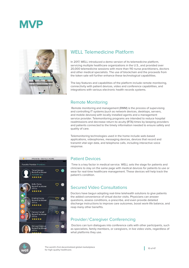<span id="page-9-0"></span>



# WELL Telemedicine Platform

In 2017, WELL introduced a demo version of its telemedicine platform. servicing multiple healthcare organizations in the U.S., and provided over 20,000 telemedicine sessions with more than 110 nurse practitioners, doctors and other medical specialists. The use of blockchain and the proceeds from the token sale will further enhance these technological capabilities.

The key features and capabilities of the platform include remote monitoring, connectivity with patient devices, video and conference capabilities, and integrations with various electronic health records systems.

## Remote Monitoring

 Remote monitoring and management (RMM) is the process of supervising and controlling IT systems (such as network devices, desktops, servers, and mobile devices) with locally installed agents and a management service provider. Telemonitoring programs are intended to reduce hospital readmissions and decrease return-to-acuity (RTA) times by keeping providers and patients connected to the timely information needed to ensure safety and quality of care.

Telemonitoring technologies used in the home include web-based applications, videophones, messaging devices, devices that record and transmit vital sign data, and telephone calls, including interactive voice response.



## Patient Devices

 Time is a key factor in medical service. WELL sets the stage for patients and clinicians to stay on the same page with medical devices for patients to use or wear for real-time healthcare management. These devices will help track the patient's condition.

## Secured Video Consultations

Doctors have begun adopting real-time telehealth solutions to give patients the added convenience of virtual doctor visits. Physicians can answer questions, assess conditions, e-prescribe, and even provide detailed discharge instructions to improve care outcomes, boost work-life balance, and reap many other benefits.

## Provider/ Caregiver Conferencing

 Doctors can turn dialogues into conference calls with other participants, such as specialists, family members, or caregivers, in live video visits, regardless of what platforms they use.

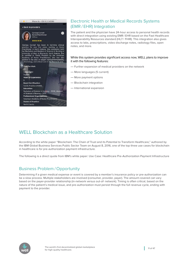

# Electronic Health or Medical Records Systems (EMR / EHR) Integration

The patient and the physician have 24-hour access to personal health records with direct integration using existing EMR / EHR based on the Fast Healthcare Interoperability Resources standard (HL7/ FHIR). This integration also gives access to labs, prescriptions, video discharge notes, radiology files, open notes, and more.

#### While this system provides significant access now, WELL plans to improve it with the following features:

- Further expansion of medical providers on the network
- More languages (5 current)
- More payment options
- Blockchain integration
- International expansion

# WELL Blockchain as a Healthcare Solution

According to the white paper "Blockchain: The Chain of Trust and its Potential to Transform Healthcare," authored by the IBM Global Business Services Public Sector Team on August 8, 2016, one of the top three use cases for blockchain in healthcare is for pre-authorization payment infrastructure.

The following is a direct quote from IBM's white paper: Use Case: Healthcare Pre-Authorization Payment Infrastructure

# Business Problem / Opportunity

Determining if a given medical expense or event is covered by a member's insurance policy or pre-authorization can be a slow process. Multiple stakeholders are involved (consumer, provider, payer). The amount covered can vary based on the payer-provider relationship (in-network versus out-of- network). Timing is often critical, based on the nature of the patient's medical issue, and pre-authorization must persist through the full revenue cycle, ending with payment to the provider.

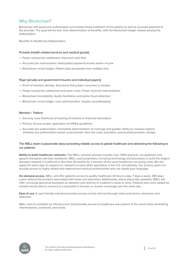## Why Blockchain?

Blockchain will speed pre-authorization and enable timely treatment of the patient as well as accurate payment to the provider. The goal will be real- time determination of benefits, with the blockchain ledger shared among the stakeholders.

Benefits to Healthcare Stakeholders:

#### Provider (health-related services and medical goods):

- Faster transaction settlement: Improved cash flow
- Accurate pre-authorization: Anticipated payments known earlier incycle
- Blockchain virtual ledger: Patient data accessible from multiple silos

#### Payer (private and government insurers and individual payers):

- Proof of member identity: Assurance that proper consumer is treated
- Faster transaction settlement and lower costs :Fewer financial intermediaries
- Blockchain immutability: Audits facilitation and better fraud detection
- Blockchain virtual ledger: Less administrative "double recordkeeping"

#### Member / Patient:

- Security: Less likelihood of hacking of medical or financial information
- Privacy: Ensure proper application of HIPAA guidelines
- Accurate pre-authorization: Immediate determination of coverage and greater ability to compare options (member pre-authorization portal could provide view into costs, providers, and possibly provider ratings)

#### The WELL team is passionate about providing reliable access to global healthcare and delivering the following to our patients:

**Ability to build healthcare networks.** The WELL network already includes over 1,600 physical, occupational, and speech therapists and their assistants. WELL used proprietary recruiting technology and processes to build the largest therapist network in California in less than 18 months for a fraction of the usual healthcare recruiting costs. We will apply the same rigor to expand our network to many other specialists in the U.S. and globally. Our primary goal is to provide access to highly skilled and experienced medical professionals who can speak your language.

**On-demand access.** WELL will offer patients access to quality healthcare 24 hours a day, 7 days a week, 365 days a year without the burdens associated with travel and wait times. Additionally, where physically available, WELL will offer concierge (personal assistant) on-demand care directly to a patient's home or work. Patients who once waited for months will be able to connect to a specialist in minutes or receive concierge care the same day.

**Ease of use.** A user-friendly interface provides access via the internet through video and phone, whenever and wherever.

WELL aims to establish an infrastructure that provides access to healthcare everywhere in the world while eliminating intermediaries, overhead, and waste.

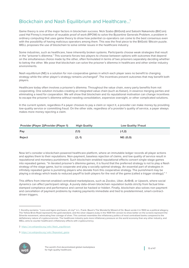# Blockchain and Nash Equilibrium and Healthcare...<sup>1</sup>

Game theory is one of the major factors in blockchain success. Nick Szabo (BitGold) and Satoshi Nakamoto (BitCoin) used Hal Finney's invention of reusable proof of work (RPOW) to solve the Byzantine Generals Problem, a problem in ordinary computing that uses game theory to show how potential co-operators can come to the best consensus even with the possibility of having malicious operators among them. This was the final piece to the BitGold / Bitcoin puzzle. WELL proposes the use of blockchain to solve similar issues in the healthcare industry.

Some industries, such as healthcare, have inherently broken systems. Participants choose weak strategies that result in the "prisoner's dilemma." This scenario forces two players to choose between options with outcomes that depend on the simultaneous choice made by the other, often formulated in terms of two prisoners separately deciding whether to betray the other. We pose that blockchain can solve the prisoner's dilemma in healthcare and other similar industry environments.

Nash equilibrium (NE) is a solution for non-cooperative games in which each player sees no benefit to changing strategy while the other player's strategy remains unchanged<sup>2</sup>. The incentives prevent outcomes that may benefit both players.

Healthcare today often involves a prisoner's dilemma. Throughout the value chain, every party benefits from not cooperating. One solution includes creating an integrated value chain (such as Kaiser), in essence merging parties and eliminating a need for cooperation. We will show that blockchain and its reputational motivation can change incentives to escape the prisoner's dilemma without needing consolidation, expensive oversight, or other complicated solutions.

In the current system, regardless if a payer chooses to pay a claim or reject it, a provider can make money by providing low-quality service or committing fraud. On the other side, regardless of a provider's quality of service, a payer always makes more money rejecting a claim.

| <b>Provider (Player 2)Provider (Player 1)</b> | <b>High Quality</b> | <b>Low Quality/Fraud</b> |
|-----------------------------------------------|---------------------|--------------------------|
| Pav                                           | (1,1)               | $(-1, 2)$                |
| <b>Reject</b>                                 | $(2,-1)$            | <b>NE: (0,0)</b>         |

Now let's consider a blockchain-powered healthcare platform, where an immutable ledger records all player actions and applies them to their reputations. Non-payment, baseless rejection of claims, and low quality of service result in reputational and monetary punishment. Such blockchain-enabled reputational effects convert single-stage games into repeated games. "In iterated prisoner's dilemma games, it is found that the preferred strategy is not to play a Nash strategy of the stage game, but to cooperate and play a socially optimal strategy. An essential part of strategies in infinitely repeated game is punishing players who deviate from this cooperative strategy. The punishment may be playing a strategy which leads to reduced payoff to both players for the rest of the game (called a trigger strategy)." 3

This differs from internet-enabled centralized marketplaces, such as Zocdoc, Uber, AirBnB, or Upwork, where social dynamics can affect participant ratings. A purely data-driven blockchain reputation builds strictly from factual timestamped compliance and performance and cannot be hacked or hidden. Finally, blockchain also solves non-payment and cancellation of payment problems by making payments immediate and tied to predetermined, smart-contractdriven triggers.

<sup>3</sup> [https:/ /en.wikipedia.org /](https://en.wikipedia.org/wiki/Repeated_game) wiki / Repeated\_game



<sup>1</sup> Dorothy exclaims: "Lions and tigers and bears, oh my!" in L. Frank. Baum's The Wonderful Wizard of Oz. Baum wrote it in 1900 as a political allegory. The Yellow Brick Road represents the gold standard, and the silver slippers (ruby in the 1939 film version to show better on the screen) represent the Silverite movement, advocating free coinage of silver. This contrast resembles the inflationary politics of most centralized banks compared to the deflationary nature of cryptocurrencies. The healthcare industry puts more inflationary pressure on the world economy than any other industry, and WELL aims to counter healthcare's inflationary effects with cryptocurrency.

<sup>2</sup> [https:/ /en.wikipedia.org /](https://en.wikipedia.org/wiki/Nash_equilibrium) wiki / Nash\_equilibrium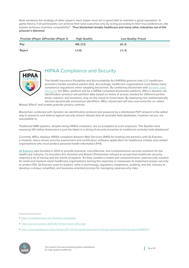Now, whatever the strategy of other players, each player must act in good faith to maintain a good reputation. In game theory, if all participants can achieve their best outcomes only by acting according to their true preferences, the system achieves incentive compatibility4. **Thus blockchain breaks healthcare and many other industries out of the prisoner's dilemma!**

| <b>Provider (Player 2) Provider (Player 1)</b> | <b>High Quality</b> | Low Quality/Fraud |
|------------------------------------------------|---------------------|-------------------|
| Pay                                            | NE: (1,1)           | $(0,-1)$          |
| <b>Reject</b>                                  | $(-1,0)$            | $(-1,-1)$         |



# HIPAA Compliance and Security

The Health Insurance Portability and Accountability Act (HIPAA) governs how U.S. healthcare providers handle sensitive patient data. Accordingly, healthcare organizations must follow many compliance regulations when adopting blockchain. By combining blockchain with [dynamic data](http://informationaccountability.org/data-dynamic-obscurity-project/)  [obscurity,](http://informationaccountability.org/data-dynamic-obscurity-project/) the WELL platform will be a HIPAA-compliant blockchain platform. WELL's dynamic deidentification protocol will partition data based on levels of access needed for different parties, times, reasons, and locations, only on-the-need-to-know basis. By deploying non-mathematically derived dynamically anonymous identifiers, WELL blockchain will also overcome the so-called

Mosaic Effect<sup>5</sup> and enable granular privacy controls.

Blockchain combined with dynamic de-identification protocol and powered by a distributed P2P network is the safest way to preserve and defend against security breach attacks that all centrally-held databases, however secure, are susceptible to.

Traditional EMR systems, despite being HIPAA-compliant, are no exception to such exposure. The Equifax hack exposing 143 million Americans is just the latest in a string of security breaches to traditional centrally-held databases<sup>6</sup>.

Currently, WELL deploys HIPAA-compliant Amazon Web Services (AWS) for hosting and partners with Qi Express, a modular, menu-driven security assessment and certification software application for healthcare entities and related organizations who must protect personal health information (PHI).

**[QI Express](http://www.qiexpress.com)** was founded in 2012 to provide practical, cost-effective, and comprehensive security solutions for the healthcare industry. Co-founders Eric Hummel and Robert Zimmerman refused to accept that healthcare security required a lot of money and the hands of experts. So they created a simple and comprehensive cybersecurity solution for small and medium-sized healthcare organizations lacking the expertise or manpower to implement proper security or protect PHI. QI Express used its leaders' skills in technology, regulatory compliance, auditing, and the industry to develop a unique, simplified, and business-oriented process for managing cybersecurity risks.

<sup>6</sup> https:/ / www.usatoday.com / story / money / 2017 / 09 / [15 /equifax-data-breach-what-you-need-know-hacking-crisis /](https://www.usatoday.com/story/money/2017/09/15/equifax-data-breach-what-you-need-know-hacking-crisis/670166001) 670166001 /



<sup>4</sup> [https:/ /en.wikipedia.org /](https://en.wikipedia.org/wiki/Incentive_compatibility) wiki / Incentive\_compatibility

<sup>5</sup> https:/ /gcn.com / articles / 2014 / 05 / 14 / [fose-mosaic-effect.aspx](https://gcn.com/articles/2014/05/14/fose-mosaic-effect.aspx)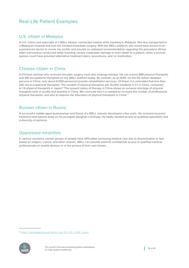# Real-Life Patient Examples

## U.S. citizen in Malaysia

A U.S. citizen and associate of a WELL advisor contracted malaria while traveling in Malaysia. She was transported to a Malaysian hospital and told she needed immediate surgery. With the WELL platform, she would have access to an experienced doctor to review her profile and provide an unbiased recommendation regarding the procedure. All too often a procedure conducted while traveling causes irreparable damage or even death to a patient, when a second opinion could have provided alternative treatment plans, procedures, and /or medication.

### Chinese citizen in China

A Chinese national who received shoulder surgery must also undergo therapy. He can access 888 physical therapists and 581 occupational therapists on the WELL platform today. By contrast, as of 2005, for the 60 million disabled persons in China, only about 6,000 personnel provide rehabilitation services. Of those, it is estimated that less than 200 are occupational therapists. The number of physical therapists per 10,000 residents is 0.1 in China, compared to 1.6 physical therapists in Japan! "The present status of therapy in China shows an extreme shortage of physical therapists both in quality and quantity in China. We conclude that it is needed to increase the number of professional physical therapists, and also to improve the education of physical therapists in China."7

## Russian citizen in Russia

A successful middle-aged businessman and friend of a WELL investor developed a few cysts. He received incorrect treatment and passed away on his youngest daughter's birthday. He badly needed access to qualified specialists and a diversity of opinions.

## Oppressed minorities

In various countries, certain groups of people have difficulties accessing medical care due to discrimination or fear based on religion, culture, and other reasons. WELL can provide patients confidential access to qualified medical professionals on mobile devices or in the privacy of their own homes.

<sup>7</sup> https:/ / [www.jstage.jst.go.jp /](https://www.jstage.jst.go.jp/article/rika/19/4/19_4_269/_article) article /rika / 19/4/ 19\_4\_269 /\_article

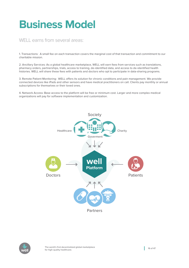# <span id="page-15-0"></span>**Business Model**

# WELL earns from several areas:

1. Transactions: A small fee on each transaction covers the marginal cost of that transaction and commitment to our charitable mission.

2. Ancillary Services: As a global healthcare marketplace, WELL will earn fees from services such as translations, pharmacy orders, partnerships, trials, access to training, de-identified data, and access to de-identified health histories. WELL will share these fees with patients and doctors who opt to participate in data-sharing programs.

3. Remote Patient Monitoring: WELL offers its solution for chronic conditions and pain management. We provide connected devices like iPads and other sensors and have medical practitioners on call. Clients pay monthly or annual subscriptions for themselves or their loved ones.

4. Network Access: Base access to the platform will be free or minimum cost. Larger and more complex medical organizations will pay for software implementation and customization.



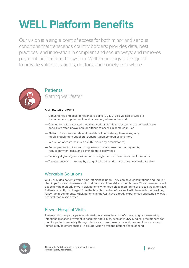# <span id="page-16-0"></span>**WELL Platform Benefits**

Our vision is a single point of access for both minor and serious conditions that transcends country borders; provides data, best practices, and innovation in compliant and secure ways; and removes payment friction from the system. Well technology is designed to provide value to patients, doctors, and society as a whole.



# **Patients** Getting well faster

### Main Benefits of WELL

- Convenience and ease of healthcare delivery 24 / 7/ 365 via app or website for immediate appointments and access anywhere in the world
- Connection with a curated global network of high-level doctors and other healthcare specialists often unavailable or difficult to access in some countries
- Platform for access to relevant providers: interpreters, pharmacies, labs, medical equipment suppliers, transportation companies and more
- Reduction of costs, as much as 30% (varies by circumstance)
- Better payment outcomes, using tokens to ease cross-border payments, reduce payment risks, and eliminate third-party fees
- Secure yet globally accessible data through the use of electronic health records
- Transparency and integrity by using blockchain and smart contracts to validate data

## Workable Solutions

WELL provides patients with a time-efficient solution. They can have consultations and regular checkups for most diseases and conditions via video visits in their homes. This convenience will especially help elderly or very sick patients who need close monitoring or are too weak to travel. Patients recently discharged from the hospital can benefit as well, with telemedicine providing follow-up appointments. WELL patients in the U.S. have already experienced substantially lower hospital readmission rates.

# Fewer Hospital Visits

Patients who can participate in telehealth eliminate their risk of contracting or transmitting infectious diseases prevalent in hospitals and clinics, such as MRSA. Medical practitioners can monitor patients remotely through devices such as biosensors, and paramedics can respond immediately to emergencies. This supervision gives the patient peace of mind.

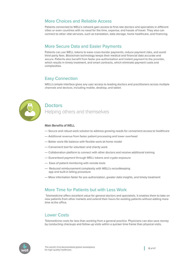## More Choices and Reliable Access

Patients connected to WELL's network gain access to first-rate doctors and specialists in different cities or even countries with no need for the time, expense, and hassle of travel. They also can connect to other vital services, such as translation, data storage, home healthcare, and financing.

## More Secure Data and Easier Payments

Patients can use WELL tokens to ease cross-border payments, reduce payment risks, and avoid third-party fees. Blockchain technology keeps their medical and financial data accurate and secure. Patients also benefit from faster pre-authorization and instant payment to the provider, which results in timely treatment, and smart contracts, which eliminate payment costs and complexities.

## Easy Connection

WELL's simple interface gives any user access to leading doctors and practitioners across multiple channels and devices, including mobile, desktop, and tablet.



# **Doctors**

Helping others and themselves

#### Main Benefits of WELL

- Secure and robust work solution to address growing needs for convenient access to healthcare
- Additional revenue from faster patient processing and lower overhead
- Better work-life balance with flexible work-at-home model
- Convenient tool for volunteer and charity work
- Collaboration platform to connect with other doctors and receive additional training
- Guaranteed payment through WELL tokens and crypto-exposure
- Ease of patient monitoring with remote tools
- Reduced reimbursement complexity with WELL's recordkeeping app and built-in billing procedure
- More information faster for pre-authorization, greater data insights, and timely treatment

## More Time for Patients but with Less Work

 Telemedicine offers excellent value for general doctors and specialists. It enables them to take on new patients from other markets and extend their hours for existing patients without adding more time at the office.

## Lower Costs

Telemedicine costs far less than working from a general practice. Physicians can also save money by conducting checkups and follow-up visits within a quicker time frame than physical visits.

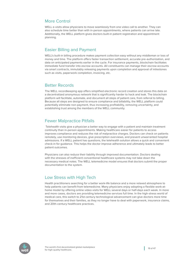## More Control

WELL e-visits allow physicians to move seamlessly from one video call to another. They can also schedule time better than with in-person appointments, where patients can arrive late. Additionally, the WELL platform gives doctors built-in patient registration and appointment planning.

## Easier Billing and Payment

WELL's built-in billing procedure makes payment collection easy without any middleman or loss of money and time. The platform offers faster transaction settlement, accurate pre-authorization, and data on anticipated payments earlier in the cycle. For insurance payments, blockchain facilitates immediate fund transfer into escrow accounts. All constituents can manage their escrow accounts via smart contracts, immutably releasing payments upon completion and approval of milestones such as visits, paperwork completion, invoicing, etc.

### Better Records

The WELL recordkeeping app offers simplified electronic record creation and stores this data on a decentralized anonymous network that is significantly harder to hack and leak. The blockchain platform will facilitate, automate, and document all steps of patient care, from referral to billing. Because all steps are designed to ensure compliance and billability, the WELL platform could potentially eliminate non-payment, thus increasing profitability, removing uncertainty, and establishing trust among the members of the WELL community.

## Fewer Malpractice Pitfalls

 Telehealth visits give a physician a better way to engage with a patient and maintain treatment continuity than in-person appointments. Making healthcare easier for patients to access improves compliance and reduces the risk of malpractice charges. Doctors can check on patients remotely, use monitoring devices, give prescription overviews, and prevent unwarranted hospital admissions. If a WELL patient has questions, the telehealth solution allows a quick and convenient check-in for guidance. This helps the doctor improve adherence and ultimately leads to better patient outcomes.

Physicians can also reduce their liability through improved documentation. Doctors dealing with the stresses of inefficient conventional healthcare systems may not take down the necessary medical notes. The WELL telemedicine model ensures that doctors submit the proper documentation to the system.

# Low Stress with High Tech

Health practitioners searching for a better work-life balance and a more relaxed atmosphere to help patients can benefit from telemedicine. Many physicians enjoy adopting a flexible work-athome model by offering online video visits for WELL several days or half-days each week. In more and more cases, doctors are providing telemedicine services full time. In the high-stress world of medical care, this switch to 21st-century technological advancement can give doctors more time for themselves and their families, as they no longer have to deal with paperwork, insurance claims, and 20th-century healthcare practices.

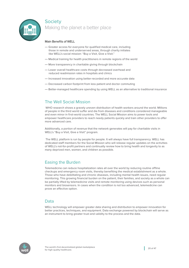

## **Society**

Making the planet a better place

### Main Benefits of WELL

- Greater access for everyone for qualified medical care, including those in remote and underserved areas, through charity initiates like WELL's social mission: "Buy a Visit, Give a Visit."
- Medical training for health practitioners in remote regions of the world
- More transparency in charitable giving through blockchain
- Lower overall healthcare costs through decreased overhead and reduced readmission rates in hospitals and clinics
- Increased innovation using better-recorded and more accurate data
- Decreased carbon footprint from less patient and doctor commuting
- Better-managed healthcare spending by using WELL as an alternative to traditional insurance

## The Well Social Mission

 WHO research shows a gravely uneven distribution of health workers around the world. Millions of people in the third world suffer and die from diseases and conditions considered manageable and even minor in first-world countries. The WELL Social Mission aims to power tools and empower healthcare providers to reach needy patients quickly and train other providers to offer more advanced care.

Additionally, a portion of revenue that the network generates will pay for charitable visits in WELL's "Buy a Visit, Give a Visit" program.

 The WELL platform is run by people for people. It will always have full transparency. WELL has dedicated staff members for the Social Mission who will release regular updates on the activities of WELL's not-for-profit partners and continually review how to bring health and longevity to as many deprived men, women, and children as possible.

## Easing the Burden

Telemedicine can reduce hospitalization rates all over the world by reducing routine offline checkups and emergency room visits, thereby benefiting the medical establishment as a whole. Those who have debilitating and chronic diseases, including mental health issues, need regular monitoring. This growing financial burden on the patient, their families, and society as a whole can be partially lifted by telemedicine visits and remote monitoring using devices such as personal monitors and biosensors. In cases when the condition is not too advanced, telemedicine can prove an effective option.

### Data

WELL technology will empower greater data sharing and distribution to empower innovation for better practices, techniques, and equipment. Data exchange powered by blockchain will serve as an instrument to bring greater trust and validity to the process and the data.

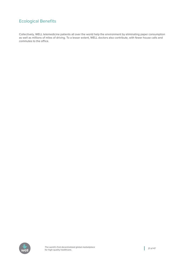# Ecological Benefits

Collectively, WELL telemedicine patients all over the world help the environment by eliminating paper consumption as well as millions of miles of driving. To a lesser extent, WELL doctors also contribute, with fewer house calls and commutes to the office.

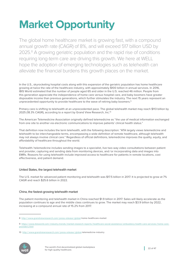# <span id="page-21-0"></span>**Market Opportunity**

The global home healthcare market is growing fast, with a compound annual growth rate (CAGR) of 8%, and will exceed 517 billion USD by 2025.<sup>8</sup> A growing geriatric population and the rapid rise of conditions requiring long-term care are driving this growth. We here at WELL hope the adoption of emerging technologies such as telehealth can alleviate the financial burdens this growth places on the market.

In the U.S., skyrocketing hospital costs along with this expansion of the geriatric population has home healthcare growing at twice the rate of the healthcare industry, with approximately \$100 billion in annual services. In 2016, IBIS World estimated that the number of people aged 65 and older in the U.S. reached 46 million. People from this generation appreciate the independence of home care versus hospital care, and baby boomers have greater disposable income than previous generations, which further stimulates the industry. The next 15 years represent an unprecedented opportunity to provide healthcare to the wave of retiring baby boomers.<sup>9</sup>

Primary care is shifting to telehealth at an unprecedented pace. The global telehealth market may reach \$113 billion by 2025 (18.3% CAGR), according to a report by Grand View Research, Inc.10

The American Telemedicine Association originally defined telemedicine as "the use of medical information exchanged from one site to another via electronic communications to improve patients' clinical health status."

That definition now includes the term telehealth, with the following description: "ATA largely views telemedicine and telehealth to be interchangeable terms, encompassing a wide definition of remote healthcare, although telehealth may not always involve clinical care." Regardless of official definitions, telemedicine improves the quality, equity, and affordability of healthcare throughout the world.

Telehealth / telemedicine includes sending images to a specialist, live two-way video consultations between patient and provider, capturing and sending data from monitoring devices, and /or incorporating data and images into EMRs. Reasons for using telehealth include improved access to healthcare for patients in remote locations, cost effectiveness, and patient demand.

### United States, the largest telehealth market

The U.S. market for advanced patient monitoring and telehealth was \$17.5 billion in 2017. It is projected to grow at 7% CAGR and reach \$25.6 billion in 2022.

#### China, the fastest-growing telehealth market

The patient monitoring and telehealth market in China reached \$1.9 billion in 2017. Sales will likely accelerate as the population continues to age and the middle class continues to grow. The market may reach \$3.9 billion by 2022, increasing at a compound annual rate of 15.2% from 2017.

<sup>10</sup> http:/ / [www.grandviewresearch.com /](http://www.grandviewresearch.com/press-release/global) press-release /global-telemedicine-industry



<sup>8</sup> http:/ / [www.grandviewresearch.com /](http://www.grandviewresearch.com/press-release/global) press-release /global-home-healthcare-market

<sup>9</sup> https:/ / www.ibisworld.com / industry-trends / market-research-reports / healthcare-social-assistance / [ambulatory-health-care-services /](https://www.ibisworld.com/industry-trends/market-research-reports/healthcare-social-assistance/ambulatory-health-care-services/home-care-providers.html) home-care[providers.html](https://www.ibisworld.com/industry-trends/market-research-reports/healthcare-social-assistance/ambulatory-health-care-services/home-care-providers.html)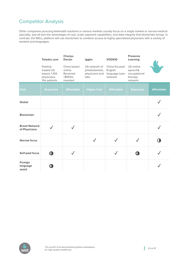# Competitor Analysis

Other companies pursuing telehealth solutions in various markets usually focus on a single market or narrow medical specialty, and all lack the advantages of cost, scale, payment capabilities, and data integrity that blockchain brings. In contrast, the WELL platform will use blockchain to combine access to highly specialized physicians with a variety of markets and languages.

|                                       | Teladoc.com                                                          | Chunyu<br><b>Doctor</b>                                    | Iggbo                                                     | <b>VODKID</b>                                         | <b>Presence</b><br>Learning                                |                   |
|---------------------------------------|----------------------------------------------------------------------|------------------------------------------------------------|-----------------------------------------------------------|-------------------------------------------------------|------------------------------------------------------------|-------------------|
|                                       | Publicly<br>traded US<br>based; 1,100<br>physicians.<br>11m patients | China based<br>online.<br>Received<br>> \$100m<br>invested | US network of<br>phlebotomists,<br>physicians and<br>labs | China focused<br>English<br>language tutor<br>network | US online<br>speech&<br>occupational<br>therapy<br>network |                   |
| <b>Cost</b>                           | <b>Expensive</b>                                                     | <b>Affordable</b>                                          | <b>Higher Cost</b>                                        | <b>Affordable</b>                                     | <b>Expensive</b>                                           | <b>Affordable</b> |
| Global                                |                                                                      |                                                            |                                                           |                                                       |                                                            |                   |
| <b>Blockchain</b>                     |                                                                      |                                                            |                                                           |                                                       |                                                            |                   |
| <b>Broad Network</b><br>of Physicians |                                                                      |                                                            |                                                           |                                                       |                                                            |                   |
| <b>Narrow focus</b>                   |                                                                      |                                                            |                                                           |                                                       |                                                            |                   |
| <b>Self-paid focus</b>                | O                                                                    |                                                            |                                                           |                                                       |                                                            |                   |
| Foreign<br>language<br>assist         | O.                                                                   |                                                            |                                                           |                                                       |                                                            |                   |

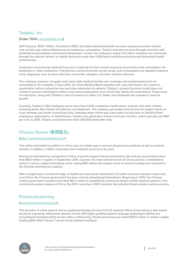## Teladoc, Inc.

#### (Ticker: TDOC, [www.teladoc.com\)](www.teladoc.com)

2017 revenue: \$172.7 million. Founded in 2002, this Dallas-based telehealth services company provides medical care via two-way videoconferencing and telephone consultation. Teladoc provides services through contracts with professional associations and licensed physicians. In total, the company's nearly 11.0 million members are connected through the internet, phone, or mobile devices to more than 1,100 board-certified physicians and behavioral health professionals.

Customers must provide medical forms prior to joining but then receive access to around-the-clock consultation via telephone or video conference. Practitioners cannot prescribe certain drugs, and consultations are typically limited to minor diagnoses such as sinus infections, bronchitis, allergies, and other common ailments.

The company, however, struggles with many state medical boards over coverage and reimbursements for its consultations. For example, in April 2015, the Texas Medical Board adopted new rules that require an in-person examination before a physician can prescribe medication to patients. Teladoc's present business model does not include in-person examinations before prescribing medications and cannot fully satisfy this amendment. These kinds of restrictions, along with Teladoc's lack of presence in other U.S. states, has hampered the company's revenue growth.

Currently, Teladoc's 259 employees serve more than 4,000 companies, health plans, systems, and other entities, including Aetna, Blue Shield of California, and Highmark. The company generates revenue from its largest clients on a per-member, per-month contractual basis, whereby major clients pay subscription access fees on behalf of their employees, dependents, or beneficiaries. Teladoc also generates revenue from per-visit fees, which typically cost \$40 per visit. In 2016, Teladoc conducted more than 300,000 telehealth visits.

# Chunyu Doctor (春雨医生)

#### (http:// [www.chunyuyisheng.com](http://www.chunyuyisheng.com) / )

This online telemedicine platform in China uses its mobile app to connect physicians to patients as well as medical records. In addition, it offers reservation line treatment services to its users.

Among the telemedicine companies in China, it has the largest Internet penetration rate and has accumulated more than \$100 million in capital. In September 2016, Cycares, the international branch of Chunyu Doctor, completed its series C venture capital fundraising round, raising \$50 million, the largest round of venture funding ever achieved in the Chinese telemedicine industry.

After recognizing an overall shortage of healthcare and uneven distribution of health resources between urban and rural China, the Chinese government has been actively developing telemedicine. Beginning in 2010, the Chinese central government invested more than \$13.3 million in establishing community-based remote medical systems in the central and western regions of China. By 2013, more than 2,000 hospitals had adopted these remote medical services.

# PresenceLearning

#### [\(www.presencelearning.com\)](www.presencelearning.com)

This provider of online speech and occupational therapy services for K-12 students offers school districts web-based access to a growing, nationwide network of over 300 highly qualified speech language pathologists (SLPs) and occupational therapists (OTs) via live video-conferencing. PresenceLearning has raised \$37.5 million in venture capital funding (\$25 million Series C round led by Catalyst Investors).

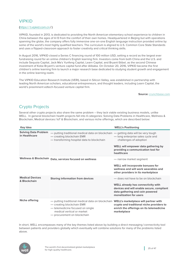## VIPKID

#### (https:// [t.vipkid.com.cn](https://t.vipkid.com.cn) / )

VIPKID, founded in 2013, is dedicated to providing the North American elementary school experience to children in China between the ages of 4-13 from the comfort of their own homes. Headquartered in Beijing but with operations spanning the globe, the company offers fully immersive one-on-one English language instruction provided online by some of the world's most highly qualified teachers. The curriculum is aligned to U.S. Common Core State Standards and uses a flipped-classroom approach to foster creativity and critical thinking skills.

In August 2016, VIPKID closed a Series C financing round of 100 million USD, setting a record as the largest ever fundraising round for an online children's English learning firm. Investors come from both China and the U.S. and include Sequoia Capital, Jack Ma's Yunfeng Capital, Learn Capital, and Bryant-Stibel, as the second Chinese investment of Kobe Bryant's venture capital fund after Alibaba. On October 20, 2016, VIPKID became the first children's online learning firm to launch a major research base dedicated to studying student growth and engagement in the online learning realm.

The VIPKID Education Research Institute (VERI), based in Silicon Valley, was established in partnership with leading North American scholars, educational entrepreneurs, and thought leaders, including Learn Capital, the world's preeminent edtech-focused venture capital firm.

#### **Source:** <crunchbase.com>

# Crypto Projects

Several other crypto projects also share the same problem – they lack viable existing business models, unlike WELL. In general blockchain health projects fall into 4 categories: Solving Data Problems in Healthcare, Wellness & Blockchain, Medical devices / IoT & Blockchain, and various niche offerings, which are described below:

| <b>Key Idea</b>                              |                                                                                                                                                                                                                     | <b>WELL's Positioning</b>                                                                                                                                                                  |
|----------------------------------------------|---------------------------------------------------------------------------------------------------------------------------------------------------------------------------------------------------------------------|--------------------------------------------------------------------------------------------------------------------------------------------------------------------------------------------|
| <b>Solving Data Problem</b><br>in Healthcare | - putting traditional medical data on blockchain - getting data will be very tough<br>- creating blockchain EMR<br>- transforming hospital data to blockchain                                                       | - long enterprise sales cycle and<br>challenges of adoption<br>WELL will empower data gathering by<br>providing a communication tool for<br>healthcare                                     |
| <b>Wellness &amp; Blockchain</b>             | Data, services focused on wellness                                                                                                                                                                                  | - narrow market segment<br><b>WELL will incorporate bonuses for</b><br>wellness and will work wearables and<br>other providers in its marketplace                                          |
| <b>Medical Devices</b><br>& Blockchain       | <b>Storing information from devices</b>                                                                                                                                                                             | - does not have to be on blockchain<br><b>WELL already has connectivity with</b><br>devices and will enable secure, compliant<br>data gathering and coin powered<br>monetization for users |
| <b>Niche offering</b>                        | - putting traditional medical data on blockchain WELL's marketplace will partner with<br>- creating blockchain EMR<br>- telemedicine focused on single<br>medical vertical or market<br>- procurement on blockchain | crypto and traditional niche providers to<br>enrich the offerings on its telemedicine<br>marketplace                                                                                       |

In short, WELL encompasses many of the key themes listed above by building a direct messaging /connectivity tool between patients and providers globally which eventually will combine solutions for many of the problems listed above.

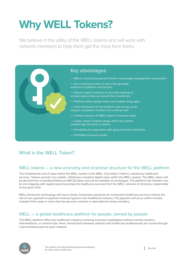# <span id="page-25-0"></span>**Why WELL Tokens?**

We believe in the utility of the WELL tokens and will work with network members to help them get the most from theirs.



# What is the WFLL Token?

## WELL tokens — a new economy and incentive structure for the WELL platform

The fundamental unit of value within the WELL system is the WELL Coin token ("token"), backed by healthcare services. Tokens provide non-volatile, inflationary-resistant digital value within the WELL system. The WELL token will be derived from a standard Ethereum ERC20 token and will be tradable on exchanges. The platform will maintain oneto-one mapping with legally bound promises for healthcare services from the WELL network of clinicians, redeemable at any given time.

WELL blockchain technology will insure timely, frictionless payments for conducted healthcare services without the risk of non-payment or payment reversal typical in the healthcare industry. The payment will occur within minutes instead of the week or more that has become common in international money transfers.

# WELL — a global healthcare platform for people, owned by people

The WELL platform offers the healthcare industry a sharing-economy marketplace without country borders, intermediaries, or central hubs. Here, transactions between patients and healthcare professionals are routed through a decentralized peer-to-peer network.

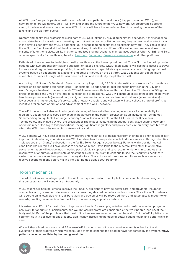All WELL platform participants – healthcare professionals, patients, developers (of apps running on WELL), and network enablers (validators, etc.) – will own and shape the future of the WELL network. Cryptocurrencies create strong tribalism, and everyone who owns WELL tokens will have the same incentive of increasing the value of the tokens and the platform overall.

Doctors and healthcare professionals can earn WELL Coin tokens by providing healthcare services. If they choose to accumulate their tokens without converting them into other crypto or fiat currencies, they can own and in effect invest in the crypto-economy and WELL's potential future as the leading healthcare blockchain network. They can also use the WELL platform to market their healthcare services, dictate the conditions of the value they create, and keep the majority of it for themselves, unlike in other centralized sharing-economy marketplaces such as Uber, AirBnB, and Etsy, or more specifically for healthcare, Teladoc,<Heal.com>, [Pager.com,](Pager.com)<PresenceLearning.com>, and other platforms.

Patients will have access to the highest quality healthcare at the lowest possible cost. The WELL platform will provide patients with two options: per-visit and subscription-based charges. WELL token owners will also have access to travel insurance and regular insurance, providing them with access to specialists anywhere at any time. Using reputational systems based on patient profiles, actions, and other attributes on the platform, WELL patients can secure more affordable insurance through WELL insurance partners and eventually the platform itself.

According to IBIS World's Telehealth Services Industry Report, only 23.2% of telehealth costs are labor (i.e. healthcare professionals conducting telehealth care). For example, Teladoc, the largest telehealth provider in the U.S. (the world's largest telehealth market) spends 26% of its revenue on its telehealth cost of service. This leaves a 74% gross profit for Teladoc and 77% on average for a healthcare professional. WELL will distribute most of these profits between healthcare professionals (value-adders) as higher payment for services rendered and patients (value-receivers) as lower costs and higher quality of service. WELL network enablers and validators will also collect a share of profits as incentives for smooth operation and advancement of the WELL network.

The WELL network will also avoid a huge shortcoming of the centralized sharing economy – its vulnerability to regulatory action, which is especially acute in healthcare. In the paper "Blockchain as an Institutional Technology Spearheading an Equitable Exchange Economy," Paolo Tasca, a director at the UCL Centre for Blockchain Technologies, and Mihaela Ulieru, the president of The Impact Institute, point out that centralized sharing-economy operators reach "too big to fail" proportions, facing significant regulatory and policy pressure on every possible front, which the WELL blockchain-enabled network will avoid.

WELL patients will have access to specialty doctors and healthcare professionals from their mobile phones (especially important in developing countries where WELL enables healthcare professionals to donate services through charities – please see the "Charity" subsection in the "WELL Token Usage" section below). Patients with specific medical conditions like allergies will have access to second opinions unavailable to them before. Patients with alternative sexual orientation will receive much-needed psychological support and care recommendations in countries that disapprove of or outright discriminate against them. Expats that want to continue to use their country's healthcare system can access even their personal primary doctors. Finally, those with serious conditions such as cancer can receive second opinions before making life-altering decisions about treatment.

## Token mechanics

The WELL token, as an integral part of the WELL ecosystem, performs multiple functions and has been designed so that our customers will want to use it frequently.

WELL tokens will help patients to improve their health, clinicians to provide better care, and providers, insurance companies, and governments to lower costs by rewarding desired behaviors and outcomes. Since the WELL network will operate on its own blockchain, all behaviors and outcomes will be recorded there and automatically trigger token rewards, creating an immediate feedback loop that encourages positive behavior.

It is extremely difficult for most of us to improve our health. For example, self-directed smoking-cessation programs only work for about 5% of participants, and weight-loss programs are considered effective if people lose 5% of their body weight. Part of the problem is that most of the time we are rewarded for bad behavior. But the WELL platform can counter this with positive feedback loops, significantly increasing the odds of better patient health and better clinician care.

Why will these feedback loops work? Because WELL patients and clinicians receive immediate feedback and evaluation of their progress, which will encourage them to continue the good behavior endorsed by the system. **WELL patients become healthier by becoming wealthier.**

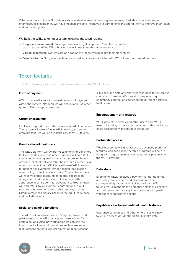Other members of the WELL network such as device manufacturers, governments, charitable organizations, and pharmaceutical companies will have mechanisms and incentives to earn tokens and spend them to improve their reach and marketing goals.

#### We built the WELL token ecosystem following these principles:

- **Progress measurement.** "What gets measured gets improved," and the immutable record aspect of the WELL blockchain will guarantee this measurement.
- **Correct incentives.** Systems are as good as the incentives built into their mechanics.
- **Gamification.** WELL game mechanics are tied to actions associated with WELL tokens and smart contracts.

# Token features

The WELL token provides for multiple features within the WELL platform:

#### **Form of payment**

WELL tokens will serve as the main means of payment within the system, although we will accept and use other types of fiat or cryptocurrencies.

#### **Currency exchange**

It will also support price determination for WELL services. The system will take a fee in WELL tokens, and some premium features will be available only in WELL tokens.

#### **Gamification of healthcare**

The WELL platform will award WELL tokens for behaviors that lead to desirable outcomes. Patients will earn WELL tokens for achieving markers, such as improved blood pressure, cholesterol, and other health measurements, or ratings and timeliness. Clinicians will earn WELL tokens for patient achievements, lower hospital readmission rates, ratings, timeliness, and more. Corporate partners will receive bigger discounts for higher satisfaction ratings from their patients and clinicians or better adherence to smart-contract governance. Programmers will earn WELL tokens for their contributions to WELL source code based on measurable metrics, such as Github references, library usage in the WELL code base, and hackathon wins.

#### **Social and gaming functions**

The WELL token also acts as an "in-game" token, and participants in the WELL ecosystem earn tokens for certain actions. Also, network members can use the token to unlock network resources such as wellness resources for patients, clinical education resources for clinicians, and data and analytics resources for enterprise clients and partners. We intend to create strong community connections between the different parties in healthcare.

#### **Encouragement and rewards**

WELL patients, doctors, and other users earn WELL tokens for being on time to appointments, thus reducing costs associated with schedule disruption.

#### **Partnership access**

WELL ownership will give access to advanced platform features, and special partnership programs will help in integrating big companies and institutional players into the WELL network.

#### **Data share**

Every time WELL receives a payment for de-identified and anonymous patient and clinician data, the corresponding patient and clinician will earn WELL tokens. WELL respects the personal details of all clients and will never disclose any information to third parties without consent from the client.

#### **Payable access to de-identified health histories**

Insurance companies and other enterprises will pay tokens to access de-identified WELL health data.

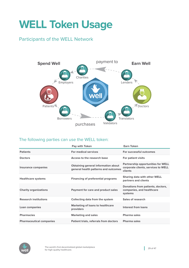# <span id="page-28-0"></span>**WELL Token Usage**

# Participants of the WELL Network



## The following parties can use the WELL token:

|                                 | <b>Pay with Token</b>                                                              | <b>Earn Token</b>                                                                           |
|---------------------------------|------------------------------------------------------------------------------------|---------------------------------------------------------------------------------------------|
| <b>Patients</b>                 | <b>For medical services</b>                                                        | For successful outcomes                                                                     |
| <b>Doctors</b>                  | Access to the research base                                                        | For patient visits                                                                          |
| <b>Insurance companies</b>      | <b>Obtaining general information about</b><br>general health patterns and outcomes | <b>Partnership opportunities for WELL</b><br>corporate clients, services to WELL<br>clients |
| <b>Healthcare systems</b>       | <b>Financing of preferential programs</b>                                          | <b>Sharing data with other WELL</b><br>partners and clients                                 |
| <b>Charity organizations</b>    | Payment for care and product sales                                                 | Donations from patients, doctors,<br>companies, and healthcare<br>systems                   |
| <b>Research institutions</b>    | Collecting data from the system                                                    | Sales of research                                                                           |
| Loan companies                  | <b>Marketing of loans to healthcare</b><br>providers                               | <b>Interest from loans</b>                                                                  |
| <b>Pharmacies</b>               | <b>Marketing and sales</b>                                                         | Pharma sales                                                                                |
| <b>Pharmaceutical companies</b> | Patient trials, referrals from doctors                                             | <b>Pharma sales</b>                                                                         |

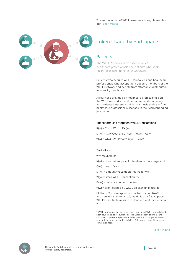To see the full list of WELL token functions, please view our [Token Matrix](https://docs.google.com/spreadsheets/d/1EyzSnjTdOsSozCkagcTpqIiarM4IkPW4rlDKS2LymDg/edit%3Fusp%3Dsharing).



# Token Usage by Participants

### **Patients**

The WELL Network is an association of healthcare professionals and patients who seek easily accessible healthcare worldwide.

Patients who acquire WELL Coin tokens and healthcare professionals who accept them become members of the WELL Network and benefit from affordable, distributed, top-quality healthcare.

All services provided by healthcare professionals on the WELL network constitute recommendations only, and patients must seek official diagnosis and care from healthcare professionals licensed in their corresponding jurisdiction.

#### These formulas represent WELL transactions:

 $R(w) = C(w) + W(w) + Fx(w)$ 

Dr(w) = C(w)[Cost of Service] – W(w) – Fx(w)

 $\pi(w) = W(w) - 2^*$  Platform  $C(w) + Fx(w)^*$ 

#### Definitions:

w = WELL token

- R(w) = price patient pays for telehealth /concierge visit
- $C(w)$  = cost of visit
- Dr(w) = amount WELL doctor earns for visit
- W(w) = small WELL transaction fee
- $Fx(w) =$  currency conversion fee $*$
- π(w) = profit earned by WELL blockchain platform

Platform C(w) = marginal cost of transaction (AWS and network maintenance), multiplied by 2 to support WELL's charitable mission to donate a visit for every paid visit

\* WELL earns potential currency conversion fees if WELL already holds both payee and payer currencies, like Ether (patient payment) and USD (doctor-preferred payment). WELL platform participants benefit from holding and transacting in WELL Coin tokens to avoid currency conversion fees.

[Token Matrix](https://drive.google.com/open%3Fid%3D1gQm_ya2s5fn0686BIM3402iwTghBTwuv3MLeJRmpGRY)

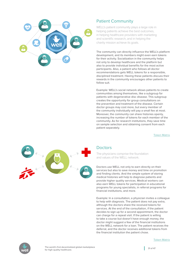

## Patient Community

WELL's patient community plays a large role in helping patients achieve the best outcomes, in helping healthcare providers with marketing and scientific research, and in helping the charity mission achieve its goals.

The community can directly influence the WELL's platform development, and its members might even earn tokens for their activity. Socialization in the community helps not only to develop healthcare and the platform but also to provide individual benefits for the most active participants. Also, a patient who follows all doctor recommendations gets WELL tokens for a responsible, disciplined treatment. Having these patients discuss their rewards in the community encourages other patients to follow suit.

Example: WELL's social network allows patients to create communities among themselves, like a subgroup for patients with degenerative disc disease. This subgroup creates the opportunity for group consultations on the prevention and treatment of the disease. Certain doctor groups may cost more, but every member of the community individually will pay a small fee at most. Moreover, the community can share histories openly, increasing the number of tokens for each member of the community. As for research institutions, they save time on sample selection and obtaining consent from each patient separately.

[Token Matrix](https://drive.google.com/open%3Fid%3D1gQm_ya2s5fn0686BIM3402iwTghBTwuv3MLeJRmpGRY)



## **Doctors**

The physicians comprise the foundation and values of the WELL network.

Doctors use WELL not only to earn directly on their services but also to save money and time on promotion and finding clients. And the simple system of storing medical histories will help to diagnose patients and provide higher quality services. Medical workers can also earn WELL tokens for participation in educational programs for young specialists, in referral programs for financial institutions, and more.

Example: In a consultation, a physician invites a colleague to help with diagnosis. The patient does not pay extra, although the doctors share the received tokens for services. At the end of the consultation, if the patient decides to sign up for a second appointment, the doctor can charge for a repeat visit. If the patient is willing to take a course but doesn't have enough money, the doctor might suggest a few of the financial institutions on the WELL network for a loan. The patient receives the deferral, and the doctor receives additional tokens from the financial institution the patient chose.





The world's first decentralized global marketplace  $\begin{bmatrix} 31 & 6 & 47 \\ 3 & 1 & 6 & 47 \end{bmatrix}$ for high-quality healthcare.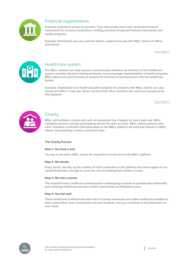

## Financial organizations

Financial institutions will act as partners. They will provide users with convenient financial instruments for currency transactions, lending, provision of special financial instruments, and loyalty programs.

Example: Participants can use a partner bank's cryptocard to pay with WELL tokens in offline pharmacies.

[Token Matrix](https://drive.google.com/open%3Fid%3D1gQm_ya2s5fn0686BIM3402iwTghBTwuv3MLeJRmpGRY)



## Healthcare system

The WELL network can help improve communication between all members of the healthcare system, socialize decision-making processes, and encourage implementation of health programs. WELL tokens are used primarily as rewards for all kinds of communication with the healthcare system.

Example: Organization of a health education program for preteens with WELL tokens can save money and effort. It may also attract doctors from other countries who want such programs for their patients.

[Token Matrix](https://drive.google.com/open%3Fid%3D1gQm_ya2s5fn0686BIM3402iwTghBTwuv3MLeJRmpGRY)



## **Charity**

WELL will facilitate a charity visit, with no transaction fee charged, for every paid visit. WELL charitable partners will pay participating doctors for their services. WELL charity partners and other charitable institutions that participate on the WELL platform will hold and transact in WELL tokens, thus avoiding currency conversion fees.

### The Charity Process

#### **Step 1. You book a visit.**

You buy a visit with a WELL doctor for yourself or a loved one on the WELL platform.

#### **Step 2. We donate.**

Every month, we tally up the number of visits conducted on the platform and send support to our nonprofit partners, enough to cover the cost of enabling that number of visits.

#### **Step 3. We train a doctor.**

The nonprofit trains healthcare professionals in developing countries to provide basic telehealth and concierge healthcare services to their communities at affordable prices.

#### **Step 4. You feel well.**

These healthcare professionals work hard to spread awareness and make healthcare available to their communities, their communities become healthier, and you contribute to the betterment of your world.

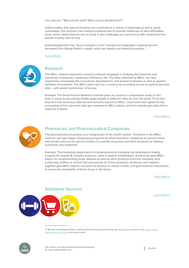You may ask: "Why sell the visits? Why not just donate them?"

Unfortunately, that type of donation can contribute to a culture of dependency and is rarely sustainable. Our partners train medical professionals to provide healthcare at ultra-affordable costs, which allows them to earn a living. It also challenges our partners to offer healthcare that people actually want to buy.

Acknowledgement: Our "buy a visit give a visit" concept and language is inspired by and borrowed from Warby Parker's model, which we admire and intend to emulate.<sup>11</sup>

[Token Matrix](https://drive.google.com/open%3Fid%3D1gQm_ya2s5fn0686BIM3402iwTghBTwuv3MLeJRmpGRY)



### Research

The WELL network welcomes research institutes engaged in studying the treatment and prevention of diseases, medication efficiency, etc. The data collected by WELL can help researchers investigate the occurrence, development, and spread of disease as well as applied methods of treatment. The WELL token acts as a currency for providing access to patient personal data – with patient permission, of course.

Example: The South Korean Research Institute plans to conduct a comparative study on the drop in visual acuity among middle-aged people in different cities all over the world. To do this, they form the necessary data set and send the request to WELL. Users that have agreed to the processing of their personal data get rewarded in WELL tokens, and the institute gets data that is ready for analysis.

[Token Matrix](https://drive.google.com/open%3Fid%3D1gQm_ya2s5fn0686BIM3402iwTghBTwuv3MLeJRmpGRY)



### Pharmacies and Pharmaceutical Companies

The pharmaceutical business is an integral part of the health system. Therefore in the WELL network, we have begun developing programs for pharmaceutical companies to connect them with doctors who act as opinion leaders to promote drug lines and other products for disease prevention and treatment.

Example: The marketing department of a pharmaceutical company has developed a loyalty program for vitamin B-complex products, used in patient rehabilitation. A physician gets WELL tokens for recommending these vitamins as well as other products from this company. And a pharmacy (offline or online) that can provide all of the necessary medicines and vitamins together gets WELL tokens, increases its position in search results, and gets financial instruments to ensure the availability of these drugs in the future.

[Token Matrix](https://drive.google.com/open%3Fid%3D1gQm_ya2s5fn0686BIM3402iwTghBTwuv3MLeJRmpGRY)

[Token Matrix](https://drive.google.com/open%3Fid%3D1gQm_ya2s5fn0686BIM3402iwTghBTwuv3MLeJRmpGRY)



Additional Services

11 We love what Warby Parker is doing and are doing the same thing with our buy a visit give a visit! https://www. [warbyparker.com /](https://www.warbyparker.com/buy) buy-a-pair-give-a-pair

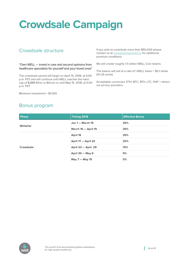# <span id="page-33-0"></span>**Crowdsale Campaign**

# Crowdsale structure

"Own WELL — invest in care and second opinions from healthcare specialists for yourself and your loved ones"

The crowdsale period will begin on April 15, 2018, at 5:00 p.m. PST and will continue until WELL reaches the hard cap of \$28M Ether or Bitcoin or until May 15, 2018, at 5:00 p.m. PST.

Minimum investment = \$1,000

If you wish to contribute more than \$50,000 please contact us at [crowdsale@joinwell.io](mailto:crowdsale@joinwell.io) for additional premium conditions.

We will create roughly 1.5 billion WELL Coin tokens.

The tokens will sell at a rate of 1 WELL token = \$0.1 dollar (10 US cents).

Acceptable currencies: ETH, BTC, BTH, LTC, FIAT + others via service providers

# Bonus program

| <b>Phase</b> | Timing 2018             | <b>Effective Bonus</b> |
|--------------|-------------------------|------------------------|
|              | <b>Jan 1 - March 15</b> | 40%                    |
| Whitelist    | March 16 - April 15     | 30%                    |
|              | April 16                | 25%                    |
|              | April 17 - April 22     | 20%                    |
| Crowdsale    | April 23 - April 29     | 10%                    |
|              | April 30 - May 6        | 5%                     |
|              | May 7 - May 15          | 0%                     |

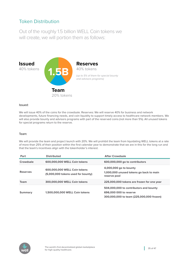# Token Distribution

Out of the roughly 1.5 billion WELL Coin tokens we will create, we will portion them as follows:



#### Issued:

We will issue 40% of the coins for the crowdsale. Reserves: We will reserve 40% for business and network developments, future financing needs, and coin liquidity to support timely access to healthcare network members. We will also provide bounty and advisors programs with part of the reserved coins (not more than 5%). All unused tokens for special programs return to the reserve.

#### Team:

We will provide the team and project launch with 20%. We will prohibit the team from liquidating WELL tokens at a rate of more than 25% of their position within the first calendar year to demonstrate that we are in this for the long run and that the team's incentives align with the tokenholder's interest.

| Part            | <b>Distributed</b>                                                 | <b>After Crowdsale</b>                                                                                       |
|-----------------|--------------------------------------------------------------------|--------------------------------------------------------------------------------------------------------------|
| Crowdsale       | 600,000,000 WELL Coin tokens                                       | 600,000,000 go to contributors                                                                               |
| <b>Reserves</b> | 600,000,000 WELL Coin tokens<br>(5,000,000 tokens used for bounty) | 4,000,000 go to bounty<br>1,000,000 unused tokens go back to main<br>reserve pool                            |
| <b>Team</b>     | 300,000,000 WELL Coin tokens                                       | 225,000,000 tokens are frozen for one year                                                                   |
| <b>Summary</b>  | 1,500,000,000 WELL Coin tokens                                     | 504,000,000 to contributors and bounty<br>696,000 000 to reserve<br>300,000,000 to team (225,000,000 frozen) |

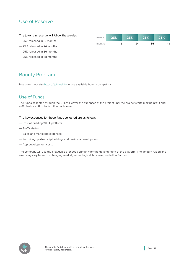# Use of Reserve

| The tokens in reserve will follow these rules: | tokens I | $\sqrt{25\%}$ | 25% | 25% | 25% |
|------------------------------------------------|----------|---------------|-----|-----|-----|
|                                                |          |               |     |     |     |

months

12 24 36 48

- 25% released in 12 months
- 25% released in 24 months
- 25% released in 36 months
- 25% released in 48 months

# Bounty Program

Please visit our site https://[joinwell.io](https://joinwell.io) to see available bounty campaigns.

## Use of Funds

The funds collected through the CTL will cover the expenses of the project until the project starts making profit and sufficient cash flow to function on its own.

#### The key expenses for these funds collected are as follows:

- Cost of building WELL platform
- Staff salaries
- Sales and marketing expenses
- Recruiting, partnership building, and business development
- App development costs

The company will use the crowdsale proceeds primarily for the development of the platform. The amount raised and used may vary based on changing market, technological, business, and other factors.

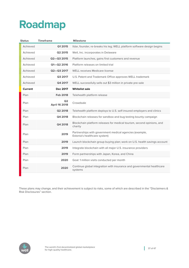# <span id="page-36-0"></span>**Roadmap**

| <b>Status</b>  | <b>Timeframe</b>                       | <b>Milestone</b>                                                                        |
|----------------|----------------------------------------|-----------------------------------------------------------------------------------------|
| Achieved       | Q1 2015                                | Ildar, founder, re-breaks his leg; WELL platform software design begins                 |
| Achieved       | Q2 2015                                | Well, Inc. incorporates in Delaware                                                     |
| Achieved       | Q2-Q3 2015                             | Platform launches, gains first customers and revenue                                    |
| Achieved       | Q1-Q2 2016                             | Platform releases on limited trial                                                      |
| Achieved       | Q2-Q3 2017                             | WELL receives Medicare license                                                          |
| Achieved       | Q3 2017                                | U.S. Patent and Trademark Office approves WELL trademark                                |
| Achieved       | Q4 2017                                | WELL successfully sells out \$3 million in private pre-sale                             |
| <b>Current</b> | Dec 2017                               | <b>Whitelist sale</b>                                                                   |
| Plan           | <b>Feb 2018</b>                        | Telehealth platform release                                                             |
| Plan           | Q <sub>2</sub><br><b>April 16 2018</b> | Crowdsale                                                                               |
| Plan           | Q2 2018                                | Telehealth platform deploys to U.S. self-insured employers and clinics                  |
| Plan           | Q4 2018                                | Blockchain releases for sandbox and bug testing bounty campaign                         |
| Plan           | Q4 2018                                | Blockchain platform releases for medical tourism, second opinions, and<br>charity       |
| Plan           | 2019                                   | Partnerships with government medical agencies (example,<br>Estonia's healthcare system) |
| Plan           | 2019                                   | Launch blockchain group buying plan; work on U.S. health savings account                |
| Plan           | 2019                                   | Integrate blockchain with all major U.S. insurance providers                            |
| Plan           | 2019                                   | Form partnerships with Japan, Korea, and China                                          |
| Plan           | 2020                                   | Goal: 1 million visits conducted per month                                              |
| Plan           | 2020                                   | Continue global integration with insurance and governmental healthcare<br>systems       |
|                |                                        |                                                                                         |

These plans may change, and their achievement is subject to risks, some of which are described in the "Disclaimers & Risk Disclosures" section.

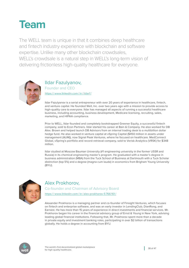<span id="page-37-0"></span>

The WELL team is unique in that it combines deep healthcare and fintech industry experience with blockchain and software expertise. Unlike many other blockchain crowdsales, WELL's crowdsale is a natural step in WELL's long-term vision of delivering frictionless high-quality healthcare for everyone.



## Ildar Fazulyanov, Founder and CEO https:// [www.linkedin.com /](https://www.linkedin.com/in/ildarf) in / ildarf /

Ildar Fazulyanov is a serial entrepreneur with over 20 years of experience in healthcare, fintech, and venture capital. He founded Well, Inc. over two years ago with a mission to provide access to high-quality care to everyone. Ildar has managed all aspects of running a successful healthcare business, including accounting, business development, Medicare licensing, recruiting, sales, marketing, and HIPAA compliance.

Prior to WELL, Ildar founded and completely bootstrapped Greener Equity, a successful fintech company, sold to Econ Partners. Ildar started his career at Bain & Company. He also worked for DB Alex. Brown and helped launch DB Advisors from an internal trading desk to a multibillion dollar hedge fund. He also worked in venture capital at vSpring Capital (\$450 million in assets under management (AUM)), now Signal Peak Ventures, where he focused on healthcare. MedConnect Global, vSpring's portfolio and record-retrieval company, sold to Verisk Analytics (VRSK) for \$348 million.

Ildar studied at Moscow Bauman University (#1 engineering university in the former USSR and Russia) in its chemical engineering master's program. He graduated with a master's degree in business administration (MBA) from the Tuck School of Business at Dartmouth with a Tuck Scholar distinction (top 5%) and a degree (magna cum laude) in economics from Brigham Young University (BYU).



# Alex Prokhorov,

Co-founder and Chairman of Advisory Board

https:// [www.linkedin.com /](https://www.linkedin.com/in/alex) in / alex-prokhorov-5 766161 /

Alexander Prokhorov is a managing partner and co-founder of Finsight Ventures, which focuses on fintech and enterprise software, and was an early investor in LendingClub, DianRong, and Earnest. He has more than 15 years of experience in direct investments and financial services. Mr. Prokhorov began his career in the financial advisory group of Ernst & Young in New York, advising leading global financial institutions. Following that, Mr. Prokhorov spent more than a decade in private equity and investment banking roles, participating in over \$2 billion of transactions globally. He holds a degree in accounting from BYU.

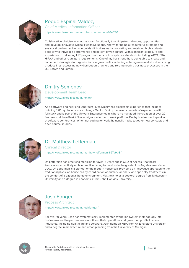

Roque Espinal-Valdez, Chief Medical Information Officer

https:// [www.linkedin.com /](https://www.linkedin.com/in/robert) in /robert-zimmerman-764780 /

Collaborative clinician who works cross functionally to anticipate challenges, opportunities and develop innovative Digital Health Solutions. Known for being a resourceful, strategic and analytical problem solver who builds clinical teams by motivating and retaining highly talented people who thrive in a performance and patient driven culture. With significant exposure and experience in delivering HIT programs under strict compliance standards including WICO, FDA, HIPAA and other regulatory requirements. One of my key strengths is being able to create and implement strategies for organizations to grow profits including entering new markets, diversifying product lines, accessing new distribution channels and re-engineering business processes in the US, LatAm and Europe.



Dmitry Semenov, Development Team Lead https:// [www.linkedin.com /](https://www.linkedin.com/in/mxnrl) in / mxnrl /

As a software engineer and Ethereum lover, Dmitry has blockchain experience that includes building P2P cryptocurrency exchange Qvolta. Dmitry has over a decade of experience with full stack and is part of the Upwork Enterprise team, where he managed the creation of over 20 features and the oDesk / Elance migration to the Upwork platform. Dmitry is a frequent speaker at software conferences. When not coding for work, he usually hacks together new concepts and open source libraries.



# Dr. Matthew Lefferman,

Clinical Director

https:// [www.linkedin.com /](https://www.linkedin.com/in/matthew) in / matthew-lefferman-627a9b8 /

Dr. Lefferman has practiced medicine for over 16 years and is CEO of Access Healthcare Associates, an entirely mobile practice caring for seniors in the greater Los Angeles area since 2007. Dr. Lefferman is a pioneer of the modern house call, providing an innovative approach to the traditional physician house call by coordination of primary, ancillary, and specialty treatments in the comfort of a patient's home environment. Matthew holds a doctoral degree from Midwestern University and a degree in economics from John Hopkins University.



# Josh Fonger,

Process Architect

https:// [www.linkedin.com /](https://www.linkedin.com/in/joshfonger) in / joshfonger/

For over 10 years, Josh has systematically implemented Work The System methodology into businesses and helped owners smooth out their operations and grow their profits in many industries, including healthcare and software. Josh holds an MBA from Arizona State University and a degree in architecture and urban planning from the University of Michigan.

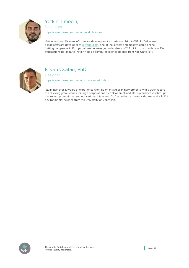

Yetkin Timocin,

Developer

https:// [www.linkedin.com /](https://www.linkedin.com/in/yetkintimocin) in / yetkintimocin /

Yetkin has over 10 years of software development experience. Prior to WELL, Yetkin was a lead software developer at **Bilyoner.com**, one of the largest and most valuable online betting companies in Europe, where he managed a database of 2.4 million users with over 10K transactions per minute. Yetkin holds a computer science degree from Koc University.



# Istvan Csatari, PhD,

**Designer** 

https:// [www.linkedin.com /](https://www.linkedin.com/in/istvancsatariphd) in / istvancsatariphd /

Istvan has over 10 years of experience working on multidisciplinary projects with a track record of achieving great results for large corporations as well as small and startup businesses through marketing, promotional, and educational initiatives. Dr. Csatari has a master's degree and a PhD in environmental science from the University of Debrecen.

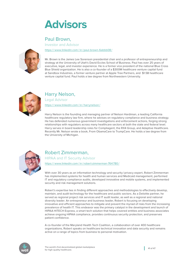# <span id="page-40-0"></span>**Advisors**

# Paul Brown,

Investor and Advisor

https://www.linkedin.com/in/paul-brown-6abbb08/



Mr. Brown is the James Lee Sorenson presidential chair and a professor of entrepreneurship and strategy at the University of Utah's David Eccles School of Business. Paul has over 25 years of executive, legal, and investor experience. He is a former vice president of the national Blue Cross Blue Shield organization. He is also a co-founder of a \$300M healthcare venture capital fund at Sandbox Industries, a former venture partner at Apple Tree Partners, and \$1.5B healthcare venture capital fund. Paul holds a law degree from Northwestern University.



# Harry Nelson,

Legal Advisor

https:// [www.linkedin.com /](https://www.linkedin.com/in/harrynelson) in / harrynelson /

Harry Nelson is the founding and managing partner of Nelson Hardiman, a leading California healthcare regulatory law firm, where he advises on regulatory compliance and business strategy. He has defended numerous government investigations and enforcement actions, forging strong relationships with regulators across many healthcare sectors at both the state and federal level. Harry serves in board leadership roles for Compliagent, the RX4 Group, and Adaptive Healthcare. Recently Mr. Nelson wrote a book, From ObamaCare to TrumpCare. He holds a law degree from the University of Michigan.



# Robert Zimmerman,

HIPAA and IT Security Advisor

https:// [www.linkedin.com /](https://www.linkedin.com/in/robert) in /robert-zimmerman-764780 /

With over 30 years as an information technology and security / privacy expert, Robert Zimmerman has implemented systems for health and human services and Medicaid management, performed IT and regulatory compliance audits, developed innovative and mobile systems, and implemented security and risk management solutions.

Robert's expertise lies in finding different approaches and methodologies to effectively develop, maintain, and audit technology for the healthcare and public sectors. As a Deloitte partner, he served as regional project risk services and IT audit leader, as well as a regional and national diversity leader. An entrepreneur and business leader, Robert is focusing on developing innovative and efficient approaches to mitigate and prevent the myriad of risks from the increasing prevalence of health IT. This endeavor was the primary catalyst in the development and launch of HIPAA HITECH Express, a smart tech solution that helps covered entities and business associates achieve ongoing HIPAA compliance, provides continuous security protection, and preserves patient confidence.

A co-founder of the Maryland Health Tech Coalition, a collaboration of over 400 healthcare organizations, Robert speaks on healthcare technical innovation and data security and remains active on a range of topics from business to personal motivation.

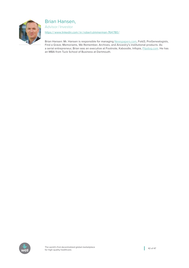

# Brian Hansen,

Advisor/ Investor

https:// [www.linkedin.com /](https://www.linkedin.com/in/robert) in /robert-zimmerman-764780 /

Brian Hansen: Mr. Hansen is responsible for managing <Newspapers.com>, Fold3, ProGenealogists, Find a Grave, Memoriams, We Remember, Archives, and Ancestry's institutional products. As a serial entrepreneur, Brian was an executive at Footnote, Kaboodle, Infopia, [Flipdog.com.](Flipdog.com) He has an MBA from Tuck School of Business at Dartmouth.

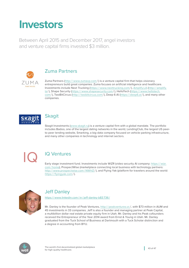# <span id="page-42-0"></span>**Investors**

Between April 2015 and December 2017, angel investors and venture capital firms invested \$3 million.



# Zuma Partners

Zuma Partners (http://[www.zumavp.com](http://www.zumavp.com)/) is a venture capital firm that helps visionary entrepreneurs build great companies. Zuma focuses on artificial intelligence and healthcare. Investments include Next Trucking (https:// [www.nexttrucking.com](https://www.nexttrucking.com) / ),<Amplify.LA> (http:// [amplify.](http://amplify.la) [la](http://amplify.la)/), Shape Security (https://[www.shapesecurity.com](https://www.shapesecurity.com)/), HelloTech (https://[www.hellotech.](https://www.hellotech.com) [com](https://www.hellotech.com) / ), TwoBitCircus (http://[twobitcircus.com](http://twobitcircus.com) / ), Deep 6 AI (<https://deep6.ai>/), and many other companies.



# **Skagit**

Skagit Investments [\(www.skagit.ru](www.skagit.ru)) is a venture capital firm with a global mandate. The portfolio includes Badoo, one of the largest dating networks in the world, LendingClub, the largest US peerto-peer lending website, Smarking, a big-data company focused on vehicle-parking infrastructure, and many other companies in technology and internet sectors.



# IQ Ventures

Early stage investment fund. Investments include WiZR (video security AI company: [https://](https://wizr.com/home) wizr. com / [home\)](https://wizr.com/home), ProspectWise (marketplace connecting local business with technology partners: http://www.prospectwise.com/NWhlZ/), and Flying Yak (platform for travelers around the world: https:// [flyingyak.com](https://flyingyak.com) / ).



# Jeff Danley

https:// [www.linkedin.com /](https://www.linkedin.com/in/jeff) in / jeff-danley-b83 736 /

Mr. Danley is the founder of Peak Ventures, <http://peakventures.vc>/, with \$73 million in AUM and 45 investments in 33 companies. Jeff is also a founder and managing partner at Peak Capital, a multibillion dollar real estate private equity firm in Utah. Mr. Danley and his Peak cofounders received the Entrepreneur of the Year 2014 award from Ernst & Young in Utah. Mr. Danley graduated from the Tuck School of Business at Dartmouth with a Tuck Scholar distinction and a degree in accounting from BYU.

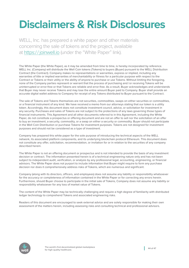# <span id="page-43-0"></span>**Disclaimers & Risk Disclosures**

WELL, Inc. has prepared a white paper and other materials concerning the sale of tokens and the project, available at https:// [joinwell.io](https://joinwell.io) (under the "White Paper" link).

The White Paper (the White Paper), as it may be amended from time to time, is hereby incorporated by reference. WELL Inc. (Company) will distribute the Well Coin tokens (Tokens) to buyers (Buyer) pursuant to the WELL Distribution Contract (the Contract). Company makes no representations or warranties, express or implied, including any warranties of title or implied warranties of merchantability or fitness for a particular purpose with respect to the Contract or Tokens or their utility or the ability of anyone to purchase or use Tokens. Without limiting the foregoing, none of the Company parties represent or warrant that the process of purchasing and /or receiving Tokens will be uninterrupted or error-free or that Tokens are reliable and error-free. As a result, Buyer acknowledges and understands that Buyer may never receive Tokens and may lose the entire amount Buyer paid to Company. Buyer shall provide an accurate digital wallet address to Company for receipt of any Tokens distributed to Buyer pursuant to the Contract.

The sale of Tokens and Tokens themselves are not securities, commodities, swaps on either securities or commodities, or a financial instrument of any kind. We have received a memo from our attorneys stating that our token is a utility token. Accordingly, this document does not constitute investment council, advice, or solicitation for investment in any security. Purchases and sales of Tokens are not subject to the protections of any laws governing those types of financial instruments. This Agreement and all other documents referred to in this Agreement, including the White Paper, do not constitute a prospectus or offering document and are not an offer to sell nor the solicitation of an offer to buy an investment, a security, commodity, or a swap on either a security or commodity. Buyer should not participate in the Well Coin Distribution or purchase Tokens for investment purposes. Tokens are not designed for investment purposes and should not be considered as a type of investment.

Company has prepared this white paper for the sole purpose of introducing the technical aspects of the WELL network, its associated platform components, and its underlying blockchain protocol Ethereum. This document does not constitute any offer, solicitation, recommendation, or invitation for or in relation to the securities of any company described herein.

The White Paper is not an offering document or prospectus and is not intended to provide the basis of any investment decision or contract. The information presented herein is of a technical engineering nature only and has not been subject to independent audit, verification, or analysis by any professional legal, accounting, engineering, or financial advisors. The White Paper does not purport to include information that Buyer might require to form any purchase decision nor does it comprehensively address risks of Tokens, which are numerous and significant.

Company (along with its directors, officers, and employees) does not assume any liability or responsibility whatsoever for the accuracy or completeness of information contained in the White Paper or for correcting any errors herein. Furthermore, should Buyer choose to participate in the initial sale of Tokens, Company does not assume any liability or responsibility whatsoever for any loss of market value of Tokens.

The content of the White Paper may be technically challenging and require a high degree of familiarity with distributed ledger technology to comprehend Tokens and associated engineering risks.

Readers of this document are encouraged to seek external advice and are solely responsible for making their own assessment of the matters herein, including assessing risks and consulting technical and professional advisors.

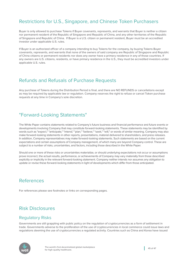# Restrictions for U.S., Singapore, and Chinese Token Purchasers

Buyer is only allowed to purchase Tokens if Buyer covenants, represents, and warrants that Buyer is neither a citizen nor permanent resident of the Republic of Singapore and Republic of China, and any other territories of the Republic of Singapore and Republic of China. If Buyer is a U.S. citizen or permanent resident, Buyer must be an accredited investor under applicable U.S. rules.

If Buyer is an authorized officer of a company intending to buy Tokens for the company, by buying Tokens Buyer covenants, represents, and warrants that none of the owners of said company are Republic of Singapore and Republic of China citizens or permanent residents nor does any owner have a primary residence in any of those countries. If any owners are U.S. citizens, residents, or have primary residence in the U.S., they must be accredited investors under applicable U.S. rules.

# Refunds and Refusals of Purchase Requests

Any purchase of Tokens during the Distribution Period is final, and there are NO REFUNDS or cancellations except as may be required by applicable law or regulation. Company reserves the right to refuse or cancel Token purchase requests at any time in Company's sole discretion.

# "Forward-Looking Statements"

The White Paper contains statements related to Company's future business and financial performance and future events or developments involving Company that may constitute forward-looking statements. These statements may be identified by words such as "expect," "anticipate," "intend," "plan," "believe," "seek," "will," or words of similar meaning. Company may also make forward-looking statements in other reports, presentations, material delivered to shareholders, and press releases. In addition, Company representatives may make forward-looking statements. Such statements are based on the current expectations and certain assumptions of Company management, of which many are beyond Company control. These are subject to a number of risks, uncertainties, and factors, including those described in the White Paper.

Should one or more of these risks or uncertainties materialize, or should underlying expectations not occur or assumptions prove incorrect, the actual results, performance, or achievements of Company may vary materially from those described explicitly or implicitly in the relevant forward-looking statement. Company neither intends nor assumes any obligation to update or revise these forward-looking statements in light of developments which differ from those anticipated.

# References

For references please see footnotes or links on corresponding pages.

# Risk Disclosures

## Regulatory Risks

Governments are still grappling with public policy on the regulation of cryptocurrencies as a form of settlement in trade. Governments adverse to the proliferation of the use of cryptocurrencies in local commerce could issue laws and regulations deeming the use of cryptocurrencies a regulated activity. Countries such as China and Korea have issued

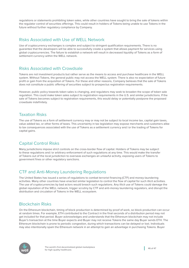regulations or statements prohibiting token sales, while other countries have sought to bring the sale of tokens within the regulator control of securities offerings. This could result in holders of Tokens being unable to use Tokens in the future without further regulatory compliance by Company.

## Risks Associated with Use of WELL Network

Use of cryptocurrency exchanges is complex and subject to stringent qualification requirements. There is no guarantee that the developers will be able to successfully create a system that allows payment for services using global cryptocurrencies. The failure to establish a network will result in decreased liquidity of Tokens as a form of settlement currency within the WELL network.

## Risks Associated with Crowdsale

Tokens are not investment products but rather serve as the means to access and purchase healthcare in the WELL system. Without Tokens, the general public may not access the WELL system. There is also no expectation of future profit or gain from the acquisition of Tokens. For these and other reasons, Company believes that the sale of Tokens does not constitute a public offering of securities subject to prospectus registration requirements.

However, public policy towards token sales is changing, and regulators may seek to broaden the scope of token sale regulation. This could make token sales subject to registration requirements in the U.S. and similar jurisdictions. If the sale of Tokens becomes subject to registration requirements, this would delay or potentially postpone the proposed crowdsale indefinitely.

## Taxation Risks

The use of Tokens as a form of settlement currency may or may not be subject to local income tax, capital gain taxes, value-added tax, or other forms of taxes. This uncertainty in tax legislation may expose merchants and customers alike to tax consequences associated with the use of Tokens as a settlement currency and /or the trading of Tokens for capital gains.

# Capital Control Risks

Many jurisdictions impose strict controls on the cross-border flow of capital. Holders of Tokens may be subject to these regulations and /or arbitrary enforcement of such regulations at any time. This would make the transfer of Tokens out of the local jurisdiction to overseas exchanges an unlawful activity, exposing users of Tokens to government fines or other regulatory sanctions.

## CTF and Anti-Money Laundering Regulations

The United States has issued a series of regulations to combat terrorist financing (CTF) and money-laundering activities. Many other countries have enacted similar legislation to control the flow of capital for such illicit activities. The use of cryptocurrencies by bad actors would breach such regulations. Any illicit use of Tokens could damage the global reputation of the WELL network, trigger scrutiny by CTF and anti-money laundering regulators, and disrupt the distribution and circulation of Tokens in the WELL ecosystem.

# Blockchain Risks

On the Ethereum blockchain, timing of block production is determined by proof of work, so block production can occur at random times. For example, ETH contributed to the Contract in the final seconds of a distribution period may not get included for that period. Buyer acknowledges and understands that the Ethereum blockchain may not include Buyer's transaction at the time Buyer expects and Buyer may not receive Tokens the same day Buyer sends ETH. The Ethereum blockchain is prone to periodic congestion, during which transactions can be delayed or lost. Individuals may also intentionally spam the Ethereum network in an attempt to gain an advantage in purchasing Tokens. Buyer